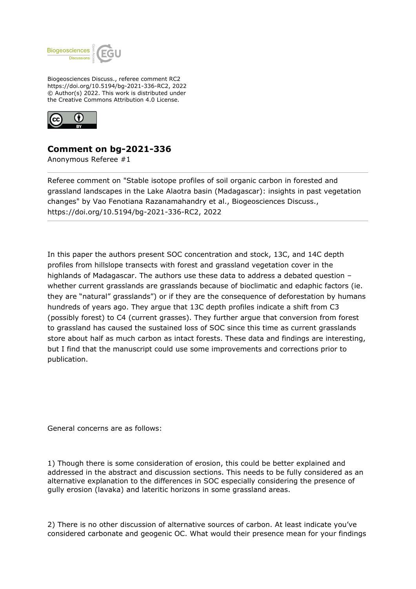

Biogeosciences Discuss., referee comment RC2 https://doi.org/10.5194/bg-2021-336-RC2, 2022 © Author(s) 2022. This work is distributed under the Creative Commons Attribution 4.0 License.



## **Comment on bg-2021-336**

Anonymous Referee #1

Referee comment on "Stable isotope profiles of soil organic carbon in forested and grassland landscapes in the Lake Alaotra basin (Madagascar): insights in past vegetation changes" by Vao Fenotiana Razanamahandry et al., Biogeosciences Discuss., https://doi.org/10.5194/bg-2021-336-RC2, 2022

In this paper the authors present SOC concentration and stock, 13C, and 14C depth profiles from hillslope transects with forest and grassland vegetation cover in the highlands of Madagascar. The authors use these data to address a debated question – whether current grasslands are grasslands because of bioclimatic and edaphic factors (ie. they are "natural" grasslands") or if they are the consequence of deforestation by humans hundreds of years ago. They argue that 13C depth profiles indicate a shift from C3 (possibly forest) to C4 (current grasses). They further argue that conversion from forest to grassland has caused the sustained loss of SOC since this time as current grasslands store about half as much carbon as intact forests. These data and findings are interesting, but I find that the manuscript could use some improvements and corrections prior to publication.

General concerns are as follows:

1) Though there is some consideration of erosion, this could be better explained and addressed in the abstract and discussion sections. This needs to be fully considered as an alternative explanation to the differences in SOC especially considering the presence of gully erosion (lavaka) and lateritic horizons in some grassland areas.

2) There is no other discussion of alternative sources of carbon. At least indicate you've considered carbonate and geogenic OC. What would their presence mean for your findings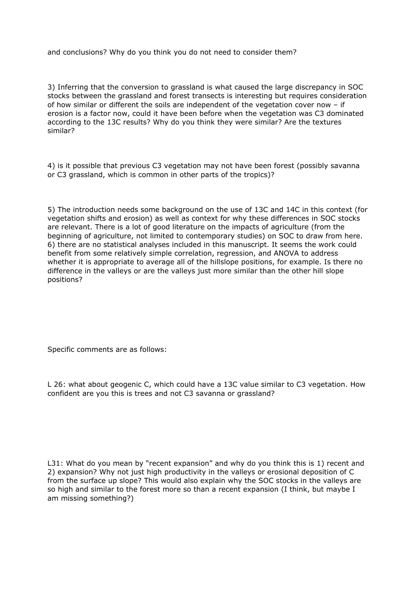and conclusions? Why do you think you do not need to consider them?

3) Inferring that the conversion to grassland is what caused the large discrepancy in SOC stocks between the grassland and forest transects is interesting but requires consideration of how similar or different the soils are independent of the vegetation cover now – if erosion is a factor now, could it have been before when the vegetation was C3 dominated according to the 13C results? Why do you think they were similar? Are the textures similar?

4) is it possible that previous C3 vegetation may not have been forest (possibly savanna or C3 grassland, which is common in other parts of the tropics)?

5) The introduction needs some background on the use of 13C and 14C in this context (for vegetation shifts and erosion) as well as context for why these differences in SOC stocks are relevant. There is a lot of good literature on the impacts of agriculture (from the beginning of agriculture, not limited to contemporary studies) on SOC to draw from here. 6) there are no statistical analyses included in this manuscript. It seems the work could benefit from some relatively simple correlation, regression, and ANOVA to address whether it is appropriate to average all of the hillslope positions, for example. Is there no difference in the valleys or are the valleys just more similar than the other hill slope positions?

Specific comments are as follows:

L 26: what about geogenic C, which could have a 13C value similar to C3 vegetation. How confident are you this is trees and not C3 savanna or grassland?

L31: What do you mean by "recent expansion" and why do you think this is 1) recent and 2) expansion? Why not just high productivity in the valleys or erosional deposition of C from the surface up slope? This would also explain why the SOC stocks in the valleys are so high and similar to the forest more so than a recent expansion (I think, but maybe I am missing something?)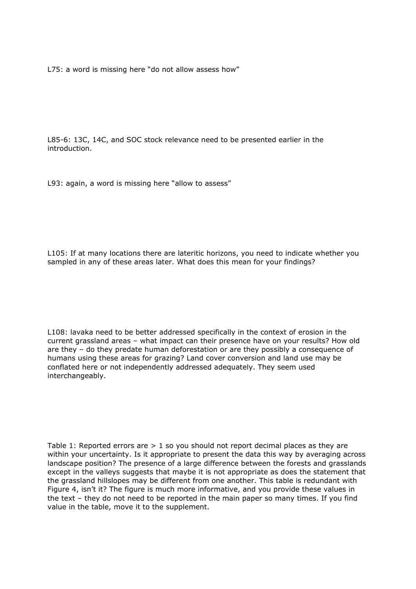L75: a word is missing here "do not allow assess how"

L85-6: 13C, 14C, and SOC stock relevance need to be presented earlier in the introduction.

L93: again, a word is missing here "allow to assess"

L105: If at many locations there are lateritic horizons, you need to indicate whether you sampled in any of these areas later. What does this mean for your findings?

L108: lavaka need to be better addressed specifically in the context of erosion in the current grassland areas – what impact can their presence have on your results? How old are they – do they predate human deforestation or are they possibly a consequence of humans using these areas for grazing? Land cover conversion and land use may be conflated here or not independently addressed adequately. They seem used interchangeably.

Table 1: Reported errors are  $> 1$  so you should not report decimal places as they are within your uncertainty. Is it appropriate to present the data this way by averaging across landscape position? The presence of a large difference between the forests and grasslands except in the valleys suggests that maybe it is not appropriate as does the statement that the grassland hillslopes may be different from one another. This table is redundant with Figure 4, isn't it? The figure is much more informative, and you provide these values in the text – they do not need to be reported in the main paper so many times. If you find value in the table, move it to the supplement.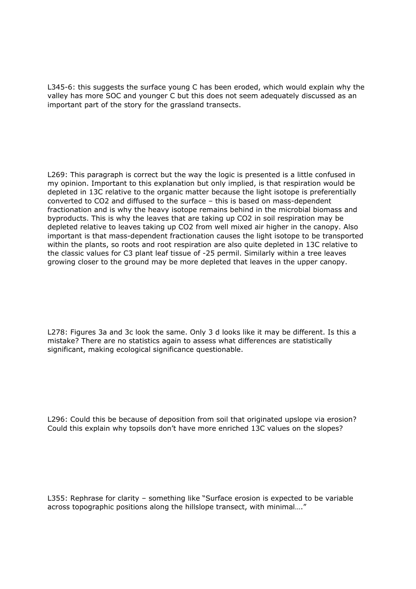L345-6: this suggests the surface young C has been eroded, which would explain why the valley has more SOC and younger C but this does not seem adequately discussed as an important part of the story for the grassland transects.

L269: This paragraph is correct but the way the logic is presented is a little confused in my opinion. Important to this explanation but only implied, is that respiration would be depleted in 13C relative to the organic matter because the light isotope is preferentially converted to CO2 and diffused to the surface – this is based on mass-dependent fractionation and is why the heavy isotope remains behind in the microbial biomass and byproducts. This is why the leaves that are taking up CO2 in soil respiration may be depleted relative to leaves taking up CO2 from well mixed air higher in the canopy. Also important is that mass-dependent fractionation causes the light isotope to be transported within the plants, so roots and root respiration are also quite depleted in 13C relative to the classic values for C3 plant leaf tissue of -25 permil. Similarly within a tree leaves growing closer to the ground may be more depleted that leaves in the upper canopy.

L278: Figures 3a and 3c look the same. Only 3 d looks like it may be different. Is this a mistake? There are no statistics again to assess what differences are statistically significant, making ecological significance questionable.

L296: Could this be because of deposition from soil that originated upslope via erosion? Could this explain why topsoils don't have more enriched 13C values on the slopes?

L355: Rephrase for clarity – something like "Surface erosion is expected to be variable across topographic positions along the hillslope transect, with minimal…."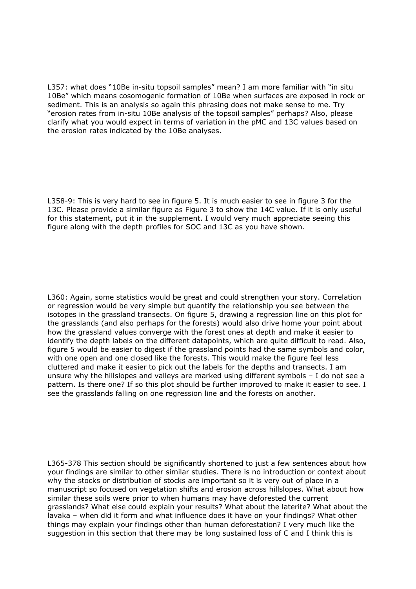L357: what does "10Be in-situ topsoil samples" mean? I am more familiar with "in situ 10Be" which means cosomogenic formation of 10Be when surfaces are exposed in rock or sediment. This is an analysis so again this phrasing does not make sense to me. Try "erosion rates from in-situ 10Be analysis of the topsoil samples" perhaps? Also, please clarify what you would expect in terms of variation in the pMC and 13C values based on the erosion rates indicated by the 10Be analyses.

L358-9: This is very hard to see in figure 5. It is much easier to see in figure 3 for the 13C. Please provide a similar figure as Figure 3 to show the 14C value. If it is only useful for this statement, put it in the supplement. I would very much appreciate seeing this figure along with the depth profiles for SOC and 13C as you have shown.

L360: Again, some statistics would be great and could strengthen your story. Correlation or regression would be very simple but quantify the relationship you see between the isotopes in the grassland transects. On figure 5, drawing a regression line on this plot for the grasslands (and also perhaps for the forests) would also drive home your point about how the grassland values converge with the forest ones at depth and make it easier to identify the depth labels on the different datapoints, which are quite difficult to read. Also, figure 5 would be easier to digest if the grassland points had the same symbols and color, with one open and one closed like the forests. This would make the figure feel less cluttered and make it easier to pick out the labels for the depths and transects. I am unsure why the hillslopes and valleys are marked using different symbols – I do not see a pattern. Is there one? If so this plot should be further improved to make it easier to see. I see the grasslands falling on one regression line and the forests on another.

L365-378 This section should be significantly shortened to just a few sentences about how your findings are similar to other similar studies. There is no introduction or context about why the stocks or distribution of stocks are important so it is very out of place in a manuscript so focused on vegetation shifts and erosion across hillslopes. What about how similar these soils were prior to when humans may have deforested the current grasslands? What else could explain your results? What about the laterite? What about the lavaka – when did it form and what influence does it have on your findings? What other things may explain your findings other than human deforestation? I very much like the suggestion in this section that there may be long sustained loss of C and I think this is